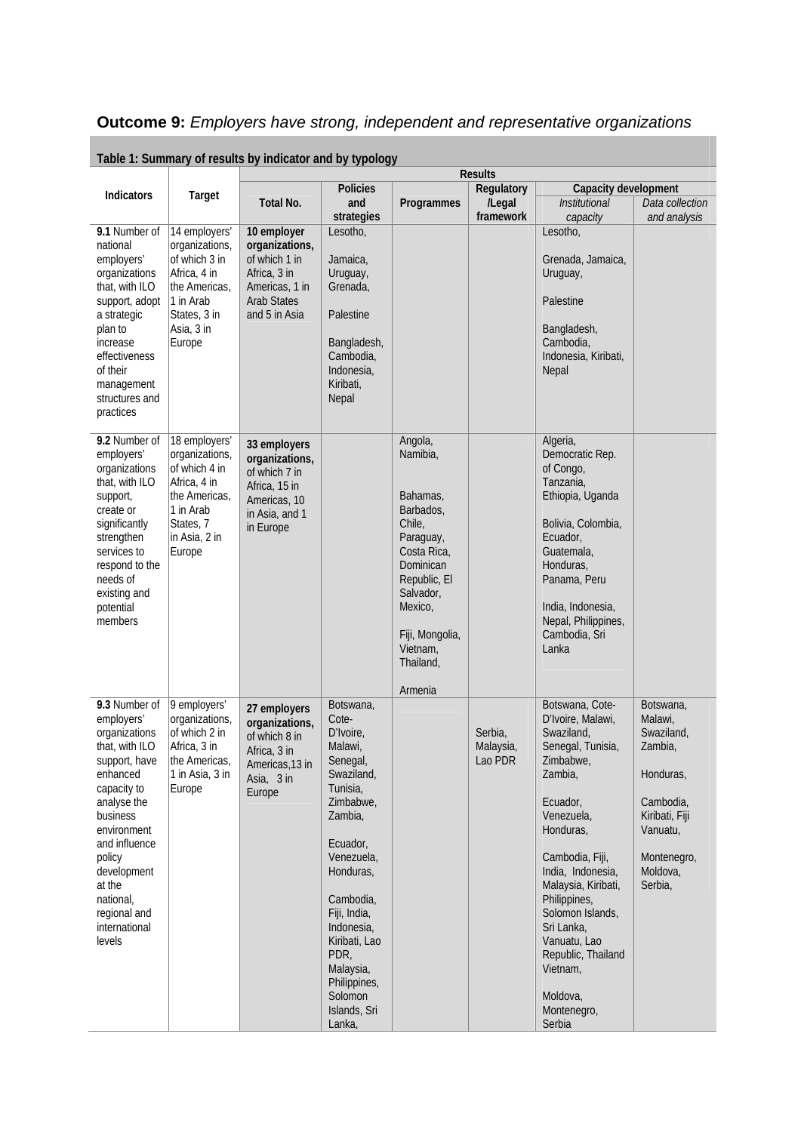## **Outcome 9:** *Employers have strong, independent and representative organizations*

|                                                                                                                                                                                                                                                                  |                                                                                                                                        |                                                                                                                         |                                                                                                                                                                                                                                                                                       |                                                                                                                                                                                                | <b>Results</b>                  |                                                                                                                                                                                                                                                                                                                                                |                                                                                                                                             |
|------------------------------------------------------------------------------------------------------------------------------------------------------------------------------------------------------------------------------------------------------------------|----------------------------------------------------------------------------------------------------------------------------------------|-------------------------------------------------------------------------------------------------------------------------|---------------------------------------------------------------------------------------------------------------------------------------------------------------------------------------------------------------------------------------------------------------------------------------|------------------------------------------------------------------------------------------------------------------------------------------------------------------------------------------------|---------------------------------|------------------------------------------------------------------------------------------------------------------------------------------------------------------------------------------------------------------------------------------------------------------------------------------------------------------------------------------------|---------------------------------------------------------------------------------------------------------------------------------------------|
| <b>Indicators</b>                                                                                                                                                                                                                                                | Target                                                                                                                                 |                                                                                                                         | <b>Policies</b>                                                                                                                                                                                                                                                                       |                                                                                                                                                                                                | Regulatory                      | Capacity development                                                                                                                                                                                                                                                                                                                           |                                                                                                                                             |
|                                                                                                                                                                                                                                                                  |                                                                                                                                        | Total No.                                                                                                               | and                                                                                                                                                                                                                                                                                   | Programmes                                                                                                                                                                                     | /Legal                          | <b>Institutional</b>                                                                                                                                                                                                                                                                                                                           | Data collection                                                                                                                             |
| 9.1 Number of<br>national<br>employers'<br>organizations<br>that, with ILO<br>support, adopt<br>a strategic<br>plan to<br>increase<br>effectiveness<br>of their<br>management<br>structures and<br>practices                                                     | 14 employers'<br>organizations,<br>of which 3 in<br>Africa, 4 in<br>the Americas,<br>1 in Arab<br>States, 3 in<br>Asia, 3 in<br>Europe | 10 employer<br>organizations,<br>of which 1 in<br>Africa, 3 in<br>Americas, 1 in<br><b>Arab States</b><br>and 5 in Asia | strategies<br>Lesotho,<br>Jamaica,<br>Uruguay,<br>Grenada,<br>Palestine<br>Bangladesh,<br>Cambodia,<br>Indonesia,<br>Kiribati,<br>Nepal                                                                                                                                               |                                                                                                                                                                                                | framework                       | capacity<br>Lesotho,<br>Grenada, Jamaica,<br>Uruguay,<br>Palestine<br>Bangladesh,<br>Cambodia,<br>Indonesia, Kiribati,<br>Nepal                                                                                                                                                                                                                | and analysis                                                                                                                                |
| 9.2 Number of<br>employers'<br>organizations<br>that, with ILO<br>support,<br>create or<br>significantly<br>strengthen<br>services to<br>respond to the<br>needs of<br>existing and<br>potential<br>members                                                      | 18 employers'<br>organizations,<br>of which 4 in<br>Africa, 4 in<br>the Americas,<br>1 in Arab<br>States, 7<br>in Asia, 2 in<br>Europe | 33 employers<br>organizations,<br>of which 7 in<br>Africa, 15 in<br>Americas, 10<br>in Asia, and 1<br>in Europe         |                                                                                                                                                                                                                                                                                       | Angola,<br>Namibia,<br>Bahamas,<br>Barbados,<br>Chile,<br>Paraguay,<br>Costa Rica,<br>Dominican<br>Republic, El<br>Salvador,<br>Mexico,<br>Fiji, Mongolia,<br>Vietnam,<br>Thailand,<br>Armenia |                                 | Algeria,<br>Democratic Rep.<br>of Congo,<br>Tanzania,<br>Ethiopia, Uganda<br>Bolivia, Colombia,<br>Ecuador,<br>Guatemala,<br>Honduras,<br>Panama, Peru<br>India, Indonesia,<br>Nepal, Philippines,<br>Cambodia, Sri<br>Lanka                                                                                                                   |                                                                                                                                             |
| 9.3 Number of<br>employers'<br>organizations<br>that, with ILO<br>support, have<br>enhanced<br>capacity to<br>analyse the<br>business<br>environment<br>and influence<br>policy<br>development<br>at the<br>national,<br>regional and<br>international<br>levels | 9 employers'<br>organizations,<br>of which 2 in<br>Africa, 3 in<br>the Americas,<br>1 in Asia, 3 in<br>Europe                          | 27 employers<br>organizations,<br>of which 8 in<br>Africa, 3 in<br>Americas, 13 in<br>Asia, 3 in<br>Europe              | Botswana,<br>Cote-<br>D'Ivoire,<br>Malawi,<br>Senegal,<br>Swaziland,<br>Tunisia.<br>Zimbabwe,<br>Zambia,<br>Ecuador,<br>Venezuela,<br>Honduras,<br>Cambodia,<br>Fiji, India,<br>Indonesia,<br>Kiribati, Lao<br>PDR,<br>Malaysia,<br>Philippines,<br>Solomon<br>Islands, Sri<br>Lanka, |                                                                                                                                                                                                | Serbia,<br>Malaysia,<br>Lao PDR | Botswana, Cote-<br>D'Ivoire, Malawi,<br>Swaziland,<br>Senegal, Tunisia,<br>Zimbabwe,<br>Zambia,<br>Ecuador,<br>Venezuela,<br>Honduras,<br>Cambodia, Fiji,<br>India, Indonesia,<br>Malaysia, Kiribati,<br>Philippines,<br>Solomon Islands,<br>Sri Lanka.<br>Vanuatu, Lao<br>Republic, Thailand<br>Vietnam,<br>Moldova,<br>Montenegro,<br>Serbia | Botswana,<br>Malawi,<br>Swaziland,<br>Zambia,<br>Honduras,<br>Cambodia,<br>Kiribati, Fiji<br>Vanuatu,<br>Montenegro,<br>Moldova,<br>Serbia, |

**Table 1: Summary of results by indicator and by typology**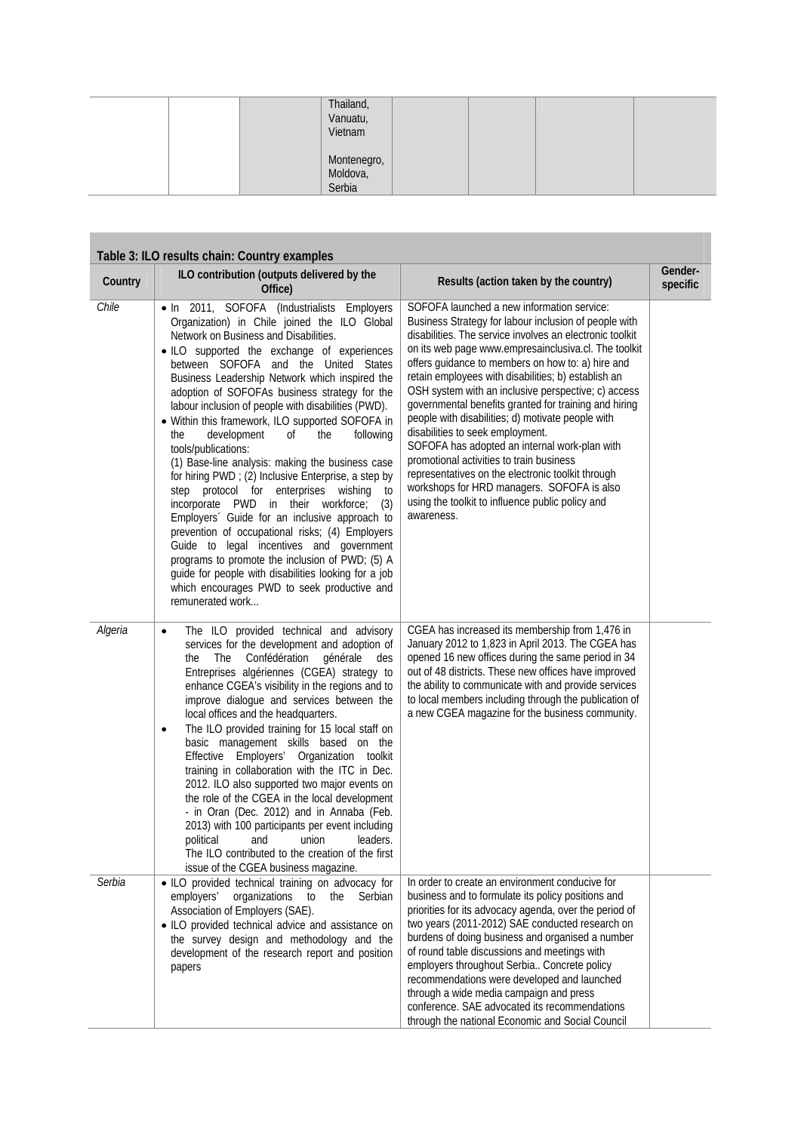| Thailand,<br>Vanuatu,<br>Vietnam  |  |  |
|-----------------------------------|--|--|
| Montenegro,<br>Moldova,<br>Serbia |  |  |

|         | Table 3: ILO results chain: Country examples                                                                                                                                                                                                                                                                                                                                                                                                                                                                                                                                                                                                                                                                                                                                                                                                                                                                                                                                                                                                            |                                                                                                                                                                                                                                                                                                                                                                                                                                                                                                                                                                                                                                                                                                                                                                                                                |                     |
|---------|---------------------------------------------------------------------------------------------------------------------------------------------------------------------------------------------------------------------------------------------------------------------------------------------------------------------------------------------------------------------------------------------------------------------------------------------------------------------------------------------------------------------------------------------------------------------------------------------------------------------------------------------------------------------------------------------------------------------------------------------------------------------------------------------------------------------------------------------------------------------------------------------------------------------------------------------------------------------------------------------------------------------------------------------------------|----------------------------------------------------------------------------------------------------------------------------------------------------------------------------------------------------------------------------------------------------------------------------------------------------------------------------------------------------------------------------------------------------------------------------------------------------------------------------------------------------------------------------------------------------------------------------------------------------------------------------------------------------------------------------------------------------------------------------------------------------------------------------------------------------------------|---------------------|
| Country | ILO contribution (outputs delivered by the<br>Office)                                                                                                                                                                                                                                                                                                                                                                                                                                                                                                                                                                                                                                                                                                                                                                                                                                                                                                                                                                                                   | Results (action taken by the country)                                                                                                                                                                                                                                                                                                                                                                                                                                                                                                                                                                                                                                                                                                                                                                          | Gender-<br>specific |
| Chile   | . In 2011, SOFOFA (Industrialists Employers<br>Organization) in Chile joined the ILO Global<br>Network on Business and Disabilities.<br>· ILO supported the exchange of experiences<br>between SOFOFA and the United States<br>Business Leadership Network which inspired the<br>adoption of SOFOFAs business strategy for the<br>labour inclusion of people with disabilities (PWD).<br>• Within this framework, ILO supported SOFOFA in<br>development<br>the<br>of<br>the<br>following<br>tools/publications:<br>(1) Base-line analysis: making the business case<br>for hiring PWD ; (2) Inclusive Enterprise, a step by<br>step protocol for enterprises wishing<br>to<br>incorporate PWD in their workforce;<br>(3)<br>Employers' Guide for an inclusive approach to<br>prevention of occupational risks; (4) Employers<br>Guide to legal incentives and government<br>programs to promote the inclusion of PWD; (5) A<br>guide for people with disabilities looking for a job<br>which encourages PWD to seek productive and<br>remunerated work | SOFOFA launched a new information service:<br>Business Strategy for labour inclusion of people with<br>disabilities. The service involves an electronic toolkit<br>on its web page www.empresainclusiva.cl. The toolkit<br>offers guidance to members on how to: a) hire and<br>retain employees with disabilities; b) establish an<br>OSH system with an inclusive perspective; c) access<br>governmental benefits granted for training and hiring<br>people with disabilities; d) motivate people with<br>disabilities to seek employment.<br>SOFOFA has adopted an internal work-plan with<br>promotional activities to train business<br>representatives on the electronic toolkit through<br>workshops for HRD managers. SOFOFA is also<br>using the toolkit to influence public policy and<br>awareness. |                     |
| Algeria | The ILO provided technical and advisory<br>$\bullet$<br>services for the development and adoption of<br>Confédération<br><b>The</b><br>générale<br>the<br>des<br>Entreprises algériennes (CGEA) strategy to<br>enhance CGEA's visibility in the regions and to<br>improve dialogue and services between the<br>local offices and the headquarters.<br>The ILO provided training for 15 local staff on<br>$\bullet$<br>basic management skills based on the<br>Employers' Organization toolkit<br>Effective<br>training in collaboration with the ITC in Dec.<br>2012. ILO also supported two major events on<br>the role of the CGEA in the local development<br>- in Oran (Dec. 2012) and in Annaba (Feb.<br>2013) with 100 participants per event including<br>political and union<br>leaders.<br>The ILO contributed to the creation of the first<br>issue of the CGEA business magazine.                                                                                                                                                            | CGEA has increased its membership from 1,476 in<br>January 2012 to 1,823 in April 2013. The CGEA has<br>opened 16 new offices during the same period in 34<br>out of 48 districts. These new offices have improved<br>the ability to communicate with and provide services<br>to local members including through the publication of<br>a new CGEA magazine for the business community.                                                                                                                                                                                                                                                                                                                                                                                                                         |                     |
| Serbia  | • ILO provided technical training on advocacy for<br>employers'<br>organizations to<br>the Serbian<br>Association of Employers (SAE).<br>• ILO provided technical advice and assistance on<br>the survey design and methodology and the<br>development of the research report and position<br>papers                                                                                                                                                                                                                                                                                                                                                                                                                                                                                                                                                                                                                                                                                                                                                    | In order to create an environment conducive for<br>business and to formulate its policy positions and<br>priorities for its advocacy agenda, over the period of<br>two years (2011-2012) SAE conducted research on<br>burdens of doing business and organised a number<br>of round table discussions and meetings with<br>employers throughout Serbia Concrete policy<br>recommendations were developed and launched<br>through a wide media campaign and press<br>conference. SAE advocated its recommendations<br>through the national Economic and Social Council                                                                                                                                                                                                                                           |                     |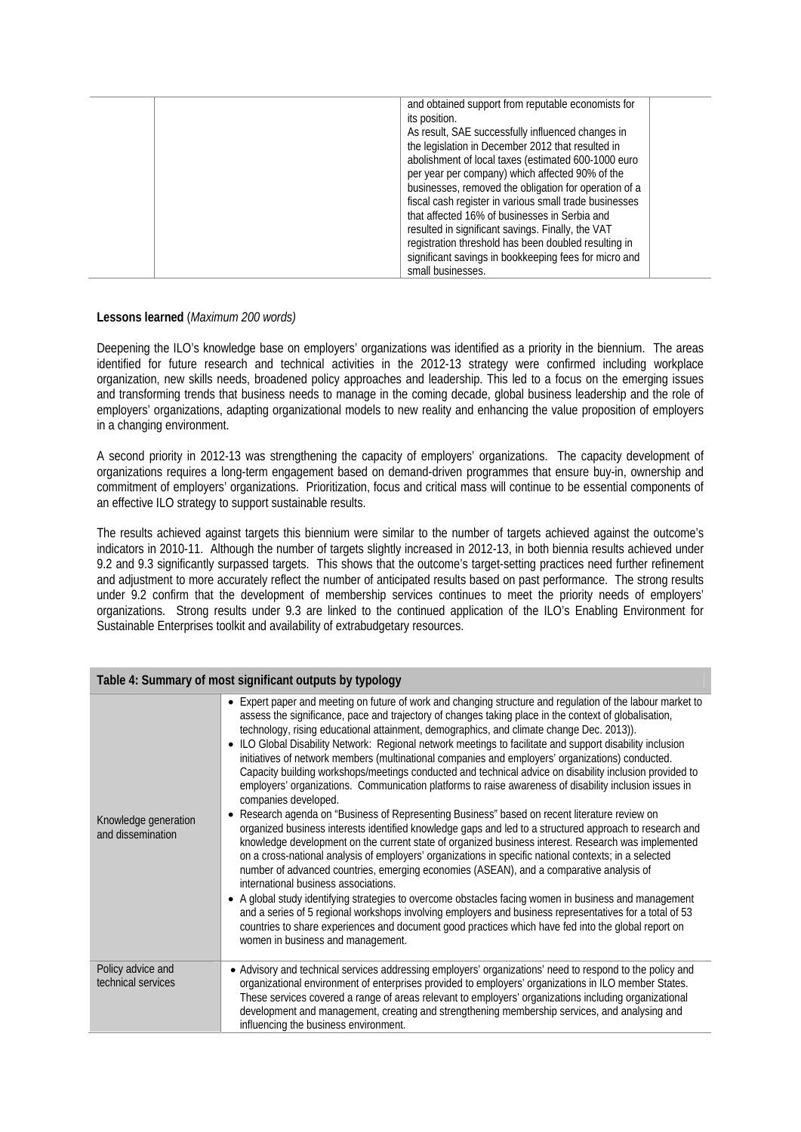| and obtained support from reputable economists for     |
|--------------------------------------------------------|
| its position.                                          |
| As result, SAE successfully influenced changes in      |
| the legislation in December 2012 that resulted in      |
| abolishment of local taxes (estimated 600-1000 euro    |
| per year per company) which affected 90% of the        |
| businesses, removed the obligation for operation of a  |
| fiscal cash register in various small trade businesses |
| that affected 16% of businesses in Serbia and          |
| resulted in significant savings. Finally, the VAT      |
| registration threshold has been doubled resulting in   |
| significant savings in bookkeeping fees for micro and  |
| small businesses.                                      |
|                                                        |

## **Lessons learned** (*Maximum 200 words)*

Deepening the ILO's knowledge base on employers' organizations was identified as a priority in the biennium. The areas identified for future research and technical activities in the 2012-13 strategy were confirmed including workplace organization, new skills needs, broadened policy approaches and leadership. This led to a focus on the emerging issues and transforming trends that business needs to manage in the coming decade, global business leadership and the role of employers' organizations, adapting organizational models to new reality and enhancing the value proposition of employers in a changing environment.

A second priority in 2012-13 was strengthening the capacity of employers' organizations. The capacity development of organizations requires a long-term engagement based on demand-driven programmes that ensure buy-in, ownership and commitment of employers' organizations. Prioritization, focus and critical mass will continue to be essential components of an effective ILO strategy to support sustainable results.

The results achieved against targets this biennium were similar to the number of targets achieved against the outcome's indicators in 2010-11. Although the number of targets slightly increased in 2012-13, in both biennia results achieved under 9.2 and 9.3 significantly surpassed targets. This shows that the outcome's target-setting practices need further refinement and adjustment to more accurately reflect the number of anticipated results based on past performance. The strong results under 9.2 confirm that the development of membership services continues to meet the priority needs of employers' organizations. Strong results under 9.3 are linked to the continued application of the ILO's Enabling Environment for Sustainable Enterprises toolkit and availability of extrabudgetary resources.

| Table 4: Summary of most significant outputs by typology |                                                                                                                                                                                                                                                                                                                                                                                                                                                                                                                                                                                                                                                                                                                                                                                                                                                                                                                                                                                                                                                                                                                                                                                                                                                                                                                                                                                                                                                                                                                                                                                                                                                                                                            |  |
|----------------------------------------------------------|------------------------------------------------------------------------------------------------------------------------------------------------------------------------------------------------------------------------------------------------------------------------------------------------------------------------------------------------------------------------------------------------------------------------------------------------------------------------------------------------------------------------------------------------------------------------------------------------------------------------------------------------------------------------------------------------------------------------------------------------------------------------------------------------------------------------------------------------------------------------------------------------------------------------------------------------------------------------------------------------------------------------------------------------------------------------------------------------------------------------------------------------------------------------------------------------------------------------------------------------------------------------------------------------------------------------------------------------------------------------------------------------------------------------------------------------------------------------------------------------------------------------------------------------------------------------------------------------------------------------------------------------------------------------------------------------------------|--|
| Knowledge generation<br>and dissemination                | • Expert paper and meeting on future of work and changing structure and regulation of the labour market to<br>assess the significance, pace and trajectory of changes taking place in the context of globalisation,<br>technology, rising educational attainment, demographics, and climate change Dec. 2013)).<br>• ILO Global Disability Network: Regional network meetings to facilitate and support disability inclusion<br>initiatives of network members (multinational companies and employers' organizations) conducted.<br>Capacity building workshops/meetings conducted and technical advice on disability inclusion provided to<br>employers' organizations. Communication platforms to raise awareness of disability inclusion issues in<br>companies developed.<br>Research agenda on "Business of Representing Business" based on recent literature review on<br>organized business interests identified knowledge gaps and led to a structured approach to research and<br>knowledge development on the current state of organized business interest. Research was implemented<br>on a cross-national analysis of employers' organizations in specific national contexts; in a selected<br>number of advanced countries, emerging economies (ASEAN), and a comparative analysis of<br>international business associations.<br>• A global study identifying strategies to overcome obstacles facing women in business and management<br>and a series of 5 regional workshops involving employers and business representatives for a total of 53<br>countries to share experiences and document good practices which have fed into the global report on<br>women in business and management. |  |
| Policy advice and<br>technical services                  | • Advisory and technical services addressing employers' organizations' need to respond to the policy and<br>organizational environment of enterprises provided to employers' organizations in ILO member States.<br>These services covered a range of areas relevant to employers' organizations including organizational<br>development and management, creating and strengthening membership services, and analysing and<br>influencing the business environment.                                                                                                                                                                                                                                                                                                                                                                                                                                                                                                                                                                                                                                                                                                                                                                                                                                                                                                                                                                                                                                                                                                                                                                                                                                        |  |